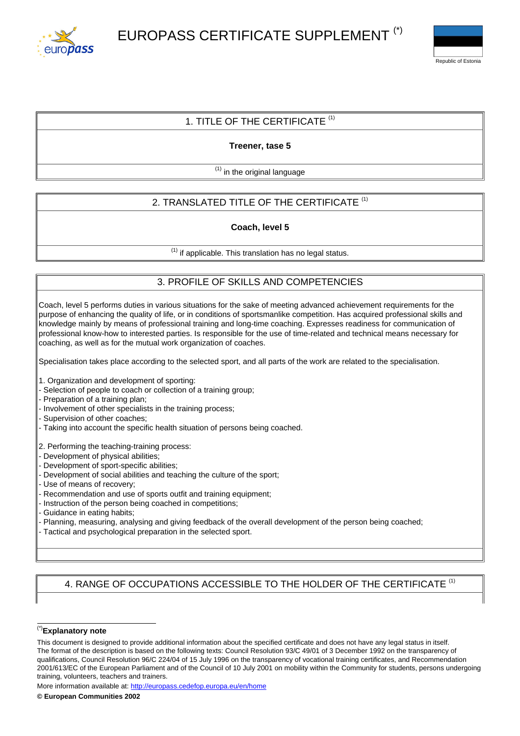



### 1. TITLE OF THE CERTIFICATE  $(1)$

**Treener, tase 5**

 $<sup>(1)</sup>$  in the original language</sup>

# 2. TRANSLATED TITLE OF THE CERTIFICATE<sup>(1)</sup>

**Coach, level 5**

 $<sup>(1)</sup>$  if applicable. This translation has no legal status.</sup>

## 3. PROFILE OF SKILLS AND COMPETENCIES

Coach, level 5 performs duties in various situations for the sake of meeting advanced achievement requirements for the purpose of enhancing the quality of life, or in conditions of sportsmanlike competition. Has acquired professional skills and knowledge mainly by means of professional training and long-time coaching. Expresses readiness for communication of professional know-how to interested parties. Is responsible for the use of time-related and technical means necessary for coaching, as well as for the mutual work organization of coaches.

Specialisation takes place according to the selected sport, and all parts of the work are related to the specialisation.

- 1. Organization and development of sporting:
- Selection of people to coach or collection of a training group;
- Preparation of a training plan;
- Involvement of other specialists in the training process;
- Supervision of other coaches;
- Taking into account the specific health situation of persons being coached.

2. Performing the teaching-training process:

- Development of physical abilities;
- Development of sport-specific abilities;
- Development of social abilities and teaching the culture of the sport;
- Use of means of recovery;
- Recommendation and use of sports outfit and training equipment;
- Instruction of the person being coached in competitions;
- Guidance in eating habits;
- Planning, measuring, analysing and giving feedback of the overall development of the person being coached;
- Tactical and psychological preparation in the selected sport.

### 4. RANGE OF OCCUPATIONS ACCESSIBLE TO THE HOLDER OF THE CERTIFICATE <sup>(1)</sup>

#### (\*)**Explanatory note**

More information available at: <http://europass.cedefop.europa.eu/en/home>

This document is designed to provide additional information about the specified certificate and does not have any legal status in itself. The format of the description is based on the following texts: Council Resolution 93/C 49/01 of 3 December 1992 on the transparency of qualifications, Council Resolution 96/C 224/04 of 15 July 1996 on the transparency of vocational training certificates, and Recommendation 2001/613/EC of the European Parliament and of the Council of 10 July 2001 on mobility within the Community for students, persons undergoing training, volunteers, teachers and trainers.